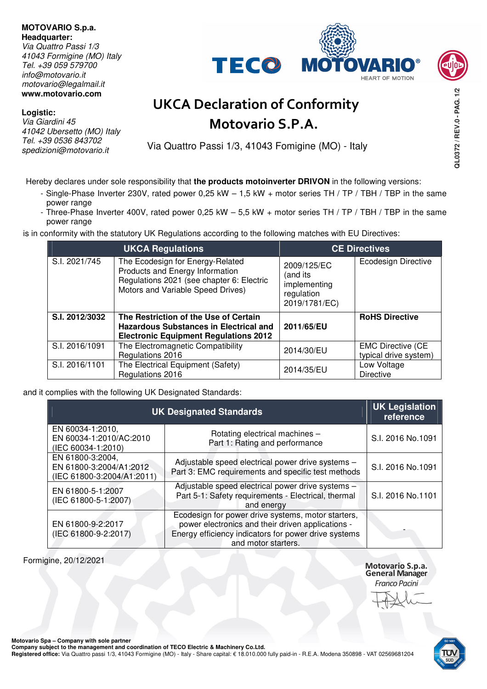## **MOTOVARIO S.p.a. Headquarter:**

**Logistic:**  Via Giardini 45

Via Quattro Passi 1/3 41043 Formigine (MO) Italy Tel. +39 059 579700 info@motovario.it motovario@legalmail.it **www.motovario.com** 

41042 Ubersetto (MO) Italy Tel. +39 0536 843702 spedizioni@motovario.it



## **UKCA Declaration of Conformity Motovario S.P.A.**

Via Quattro Passi 1/3, 41043 Fomigine (MO) - Italy

Hereby declares under sole responsibility that **the products motoinverter DRIVON** in the following versions:

- Single-Phase Inverter 230V, rated power 0,25 kW 1,5 kW + motor series TH / TP / TBH / TBP in the same power range
- Three-Phase Inverter 400V, rated power 0,25 kW 5,5 kW + motor series TH / TP / TBH / TBP in the same power range

is in conformity with the statutory UK Regulations according to the following matches with EU Directives:

| <b>UKCA Regulations</b> |                                                                                                                                                       | <b>CE Directives</b>                                                   |                                                   |
|-------------------------|-------------------------------------------------------------------------------------------------------------------------------------------------------|------------------------------------------------------------------------|---------------------------------------------------|
| S.I. 2021/745           | The Ecodesign for Energy-Related<br>Products and Energy Information<br>Regulations 2021 (see chapter 6: Electric<br>Motors and Variable Speed Drives) | 2009/125/EC<br>(and its<br>implementing<br>regulation<br>2019/1781/EC) | <b>Ecodesign Directive</b>                        |
| S.I. 2012/3032          | The Restriction of the Use of Certain<br><b>Hazardous Substances in Electrical and</b><br><b>Electronic Equipment Regulations 2012</b>                | 2011/65/EU                                                             | <b>RoHS Directive</b>                             |
| S.I. 2016/1091          | The Electromagnetic Compatibility<br>Regulations 2016                                                                                                 | 2014/30/EU                                                             | <b>EMC Directive (CE</b><br>typical drive system) |
| S.I. 2016/1101          | The Electrical Equipment (Safety)<br>Regulations 2016                                                                                                 | 2014/35/EU                                                             | Low Voltage<br><b>Directive</b>                   |

and it complies with the following UK Designated Standards:

| <b>UK Designated Standards</b>                                            | <b>UK Legislation</b><br>reference                                                                                                                                                     |                   |
|---------------------------------------------------------------------------|----------------------------------------------------------------------------------------------------------------------------------------------------------------------------------------|-------------------|
| EN 60034-1:2010,<br>EN 60034-1:2010/AC:2010<br>(IEC 60034-1:2010)         | Rotating electrical machines -<br>Part 1: Rating and performance                                                                                                                       | S.I. 2016 No.1091 |
| EN 61800-3:2004,<br>EN 61800-3:2004/A1:2012<br>(IEC 61800-3:2004/A1:2011) | Adjustable speed electrical power drive systems -<br>Part 3: EMC requirements and specific test methods                                                                                | S.I. 2016 No.1091 |
| EN 61800-5-1:2007<br>(IEC 61800-5-1:2007)                                 | Adjustable speed electrical power drive systems -<br>Part 5-1: Safety requirements - Electrical, thermal<br>and energy                                                                 | S.I. 2016 No.1101 |
| EN 61800-9-2:2017<br>(IEC 61800-9-2:2017)                                 | Ecodesign for power drive systems, motor starters,<br>power electronics and their driven applications -<br>Energy efficiency indicators for power drive systems<br>and motor starters. |                   |

Formigine, 20/12/2021

**Motovario S.p.a. General Manager**

*Franco Pacini*

QL0372/REV.0-PAG.1/2 **QL0372 / REV.0 - PAG. 1/2**

**Motovario Spa – Company with sole partner** 

**Company subject to the management and coordination of TECO Electric & Machinery Co.Ltd. Registered office:** Via Quattro passi 1/3, 41043 Formigine (MO) - Italy - Share capital: € 18.010.000 fully paid-in - R.E.A. Modena 350898 - VAT 02569681204